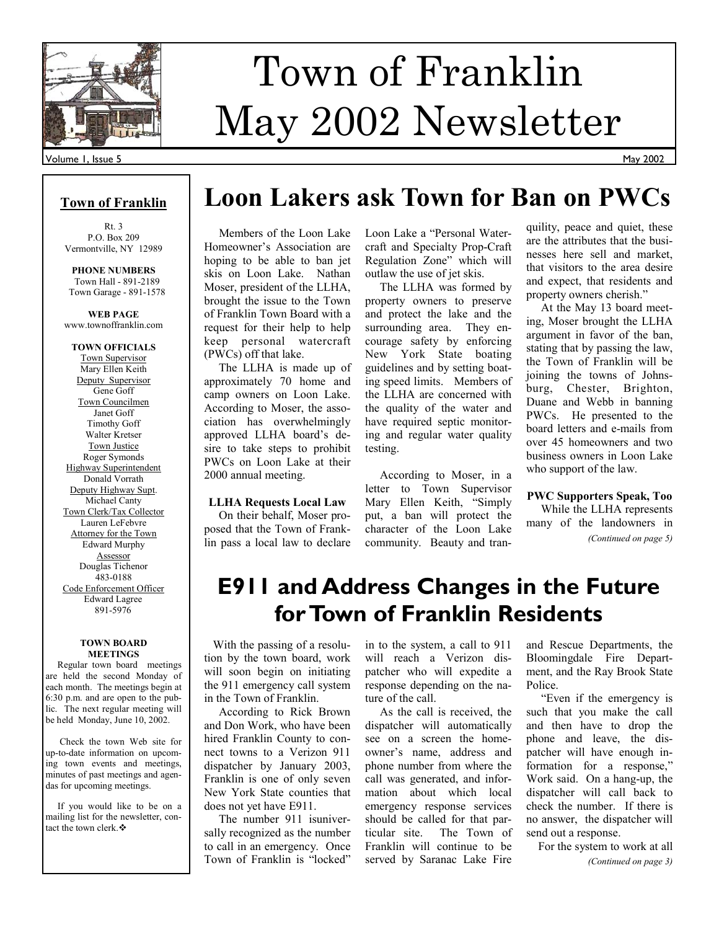

# Town of Franklin May 2002 Newsletter

### Volume 1, Issue 5

## **Town of Franklin**

Rt. 3 P.O. Box 209 Vermontville, NY 12989

**PHONE NUMBERS**  Town Hall - 891-2189 Town Garage - 891-1578

**WEB PAGE**  www.townoffranklin.com

**TOWN OFFICIALS**  Town Supervisor Mary Ellen Keith Deputy Supervisor Gene Goff Town Councilmen Janet Goff Timothy Goff Walter Kretser Town Justice Roger Symonds Highway Superintendent Donald Vorrath Deputy Highway Supt. Michael Canty Town Clerk/Tax Collector Lauren LeFebvre Attorney for the Town Edward Murphy Assessor Douglas Tichenor 483-0188 Code Enforcement Officer Edward Lagree 891-5976

### **TOWN BOARD MEETINGS**

 Regular town board meetings are held the second Monday of each month. The meetings begin at 6:30 p.m. and are open to the public. The next regular meeting will be held Monday, June 10, 2002.

 Check the town Web site for up-to-date information on upcoming town events and meetings, minutes of past meetings and agendas for upcoming meetings.

 If you would like to be on a mailing list for the newsletter, contact the town clerk. ❖

## **Loon Lakers ask Town for Ban on PWCs**

 Members of the Loon Lake Homeowner's Association are hoping to be able to ban jet skis on Loon Lake. Nathan Moser, president of the LLHA, brought the issue to the Town of Franklin Town Board with a request for their help to help keep personal watercraft (PWCs) off that lake.

 The LLHA is made up of approximately 70 home and camp owners on Loon Lake. According to Moser, the association has overwhelmingly approved LLHA board's desire to take steps to prohibit PWCs on Loon Lake at their 2000 annual meeting.

### **LLHA Requests Local Law**

 On their behalf, Moser proposed that the Town of Franklin pass a local law to declare Loon Lake a "Personal Watercraft and Specialty Prop-Craft Regulation Zone" which will outlaw the use of jet skis.

 The LLHA was formed by property owners to preserve and protect the lake and the surrounding area. They encourage safety by enforcing New York State boating guidelines and by setting boating speed limits. Members of the LLHA are concerned with the quality of the water and have required septic monitoring and regular water quality testing.

 According to Moser, in a letter to Town Supervisor Mary Ellen Keith, "Simply put, a ban will protect the character of the Loon Lake community. Beauty and tran-

quility, peace and quiet, these are the attributes that the businesses here sell and market, that visitors to the area desire and expect, that residents and property owners cherish."

 At the May 13 board meeting, Moser brought the LLHA argument in favor of the ban, stating that by passing the law, the Town of Franklin will be joining the towns of Johnsburg, Chester, Brighton, Duane and Webb in banning PWCs. He presented to the board letters and e-mails from over 45 homeowners and two business owners in Loon Lake who support of the law.

### **PWC Supporters Speak, Too**

 While the LLHA represents many of the landowners in *(Continued on page 5)* 

## **E911 and Address Changes in the Future for Town of Franklin Residents**

 With the passing of a resolution by the town board, work will soon begin on initiating the 911 emergency call system in the Town of Franklin.

 According to Rick Brown and Don Work, who have been hired Franklin County to connect towns to a Verizon 911 dispatcher by January 2003, Franklin is one of only seven New York State counties that does not yet have E911.

 The number 911 isuniversally recognized as the number to call in an emergency. Once Town of Franklin is "locked"

in to the system, a call to 911 will reach a Verizon dispatcher who will expedite a response depending on the nature of the call.

 As the call is received, the dispatcher will automatically see on a screen the homeowner's name, address and phone number from where the call was generated, and information about which local emergency response services should be called for that particular site. The Town of Franklin will continue to be served by Saranac Lake Fire

and Rescue Departments, the Bloomingdale Fire Department, and the Ray Brook State Police.

 "Even if the emergency is such that you make the call and then have to drop the phone and leave, the dispatcher will have enough information for a response," Work said. On a hang-up, the dispatcher will call back to check the number. If there is no answer, the dispatcher will send out a response.

 For the system to work at all *(Continued on page 3)*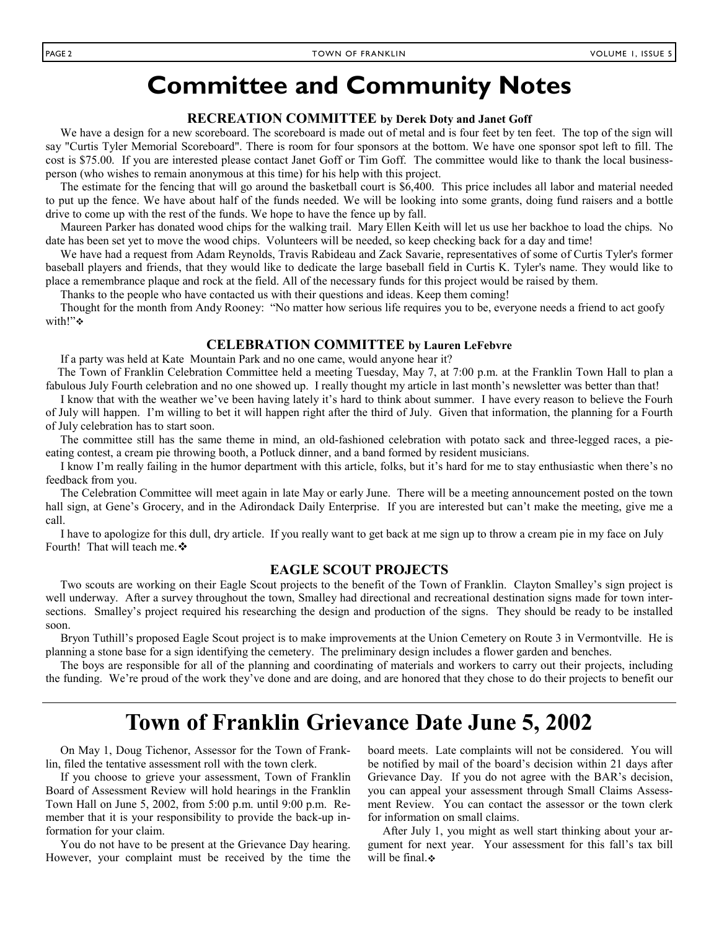## **Committee and Community Notes**

## **RECREATION COMMITTEE by Derek Doty and Janet Goff**

We have a design for a new scoreboard. The scoreboard is made out of metal and is four feet by ten feet. The top of the sign will say "Curtis Tyler Memorial Scoreboard". There is room for four sponsors at the bottom. We have one sponsor spot left to fill. The cost is \$75.00. If you are interested please contact Janet Goff or Tim Goff. The committee would like to thank the local businessperson (who wishes to remain anonymous at this time) for his help with this project.

 The estimate for the fencing that will go around the basketball court is \$6,400. This price includes all labor and material needed to put up the fence. We have about half of the funds needed. We will be looking into some grants, doing fund raisers and a bottle drive to come up with the rest of the funds. We hope to have the fence up by fall.

 Maureen Parker has donated wood chips for the walking trail. Mary Ellen Keith will let us use her backhoe to load the chips. No date has been set yet to move the wood chips. Volunteers will be needed, so keep checking back for a day and time!

 We have had a request from Adam Reynolds, Travis Rabideau and Zack Savarie, representatives of some of Curtis Tyler's former baseball players and friends, that they would like to dedicate the large baseball field in Curtis K. Tyler's name. They would like to place a remembrance plaque and rock at the field. All of the necessary funds for this project would be raised by them.

Thanks to the people who have contacted us with their questions and ideas. Keep them coming!

 Thought for the month from Andy Rooney: "No matter how serious life requires you to be, everyone needs a friend to act goofy with!"❖

## **CELEBRATION COMMITTEE by Lauren LeFebvre**

If a party was held at Kate Mountain Park and no one came, would anyone hear it?

 The Town of Franklin Celebration Committee held a meeting Tuesday, May 7, at 7:00 p.m. at the Franklin Town Hall to plan a fabulous July Fourth celebration and no one showed up. I really thought my article in last month's newsletter was better than that!

 I know that with the weather we've been having lately it's hard to think about summer. I have every reason to believe the Fourh of July will happen. I'm willing to bet it will happen right after the third of July. Given that information, the planning for a Fourth of July celebration has to start soon.

 The committee still has the same theme in mind, an old-fashioned celebration with potato sack and three-legged races, a pieeating contest, a cream pie throwing booth, a Potluck dinner, and a band formed by resident musicians.

 I know I'm really failing in the humor department with this article, folks, but it's hard for me to stay enthusiastic when there's no feedback from you.

 The Celebration Committee will meet again in late May or early June. There will be a meeting announcement posted on the town hall sign, at Gene's Grocery, and in the Adirondack Daily Enterprise. If you are interested but can't make the meeting, give me a call.

 I have to apologize for this dull, dry article. If you really want to get back at me sign up to throw a cream pie in my face on July Fourth! That will teach me. ❖

## **EAGLE SCOUT PROJECTS**

 Two scouts are working on their Eagle Scout projects to the benefit of the Town of Franklin. Clayton Smalley's sign project is well underway. After a survey throughout the town, Smalley had directional and recreational destination signs made for town intersections. Smalley's project required his researching the design and production of the signs. They should be ready to be installed soon.

 Bryon Tuthill's proposed Eagle Scout project is to make improvements at the Union Cemetery on Route 3 in Vermontville. He is planning a stone base for a sign identifying the cemetery. The preliminary design includes a flower garden and benches.

 The boys are responsible for all of the planning and coordinating of materials and workers to carry out their projects, including the funding. We're proud of the work they've done and are doing, and are honored that they chose to do their projects to benefit our

## **Town of Franklin Grievance Date June 5, 2002**

 On May 1, Doug Tichenor, Assessor for the Town of Franklin, filed the tentative assessment roll with the town clerk.

 If you choose to grieve your assessment, Town of Franklin Board of Assessment Review will hold hearings in the Franklin Town Hall on June 5, 2002, from 5:00 p.m. until 9:00 p.m. Remember that it is your responsibility to provide the back-up information for your claim.

 You do not have to be present at the Grievance Day hearing. However, your complaint must be received by the time the board meets. Late complaints will not be considered. You will be notified by mail of the board's decision within 21 days after Grievance Day. If you do not agree with the BAR's decision, you can appeal your assessment through Small Claims Assessment Review. You can contact the assessor or the town clerk for information on small claims.

 After July 1, you might as well start thinking about your argument for next year. Your assessment for this fall's tax bill will be final. $\bullet$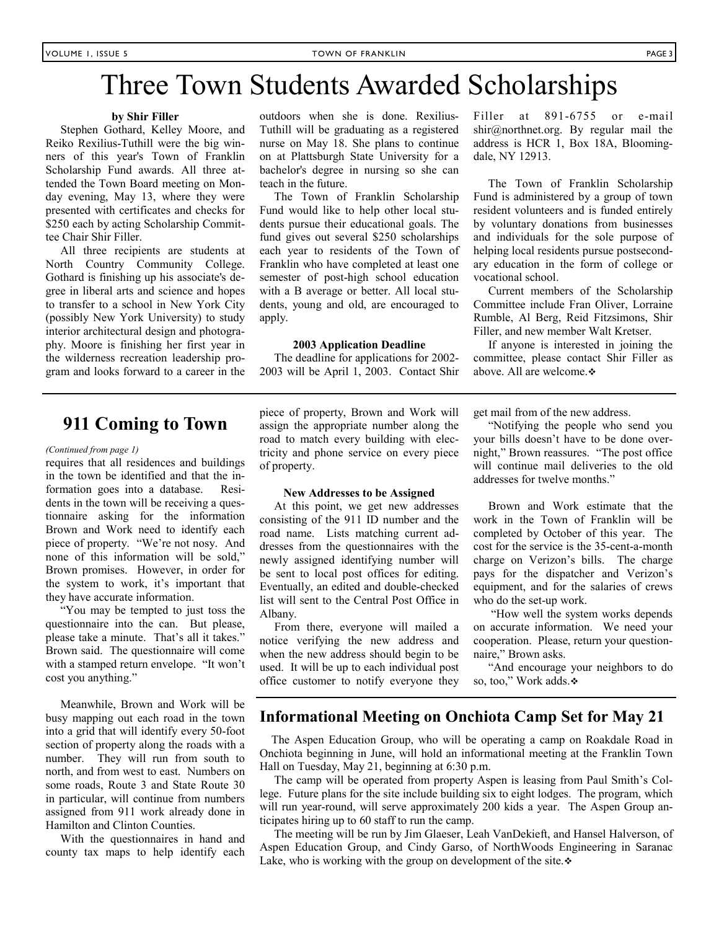## Three Town Students Awarded Scholarships

### **by Shir Filler**

 Stephen Gothard, Kelley Moore, and Reiko Rexilius-Tuthill were the big winners of this year's Town of Franklin Scholarship Fund awards. All three attended the Town Board meeting on Monday evening, May 13, where they were presented with certificates and checks for \$250 each by acting Scholarship Committee Chair Shir Filler.

 All three recipients are students at North Country Community College. Gothard is finishing up his associate's degree in liberal arts and science and hopes to transfer to a school in New York City (possibly New York University) to study interior architectural design and photography. Moore is finishing her first year in the wilderness recreation leadership program and looks forward to a career in the outdoors when she is done. Rexilius-Tuthill will be graduating as a registered nurse on May 18. She plans to continue on at Plattsburgh State University for a bachelor's degree in nursing so she can teach in the future.

 The Town of Franklin Scholarship Fund would like to help other local students pursue their educational goals. The fund gives out several \$250 scholarships each year to residents of the Town of Franklin who have completed at least one semester of post-high school education with a B average or better. All local students, young and old, are encouraged to apply.

### **2003 Application Deadline**

 The deadline for applications for 2002- 2003 will be April 1, 2003. Contact Shir Filler at 891-6755 or e-mail shir@northnet.org. By regular mail the address is HCR 1, Box 18A, Bloomingdale, NY 12913.

 The Town of Franklin Scholarship Fund is administered by a group of town resident volunteers and is funded entirely by voluntary donations from businesses and individuals for the sole purpose of helping local residents pursue postsecondary education in the form of college or vocational school.

 Current members of the Scholarship Committee include Fran Oliver, Lorraine Rumble, Al Berg, Reid Fitzsimons, Shir Filler, and new member Walt Kretser.

 If anyone is interested in joining the committee, please contact Shir Filler as above. All are welcome.  $\bullet$ 

## **911 Coming to Town**

#### *(Continued from page 1)*

requires that all residences and buildings in the town be identified and that the information goes into a database. Residents in the town will be receiving a questionnaire asking for the information Brown and Work need to identify each piece of property. "We're not nosy. And none of this information will be sold," Brown promises. However, in order for the system to work, it's important that they have accurate information.

 "You may be tempted to just toss the questionnaire into the can. But please, please take a minute. That's all it takes." Brown said. The questionnaire will come with a stamped return envelope. "It won't cost you anything."

 Meanwhile, Brown and Work will be busy mapping out each road in the town into a grid that will identify every 50-foot section of property along the roads with a number. They will run from south to north, and from west to east. Numbers on some roads, Route 3 and State Route 30 in particular, will continue from numbers assigned from 911 work already done in Hamilton and Clinton Counties.

 With the questionnaires in hand and county tax maps to help identify each piece of property, Brown and Work will assign the appropriate number along the road to match every building with electricity and phone service on every piece of property.

### **New Addresses to be Assigned**

 At this point, we get new addresses consisting of the 911 ID number and the road name. Lists matching current addresses from the questionnaires with the newly assigned identifying number will be sent to local post offices for editing. Eventually, an edited and double-checked list will sent to the Central Post Office in Albany.

 From there, everyone will mailed a notice verifying the new address and when the new address should begin to be used. It will be up to each individual post office customer to notify everyone they get mail from of the new address.

 "Notifying the people who send you your bills doesn't have to be done overnight," Brown reassures. "The post office will continue mail deliveries to the old addresses for twelve months."

 Brown and Work estimate that the work in the Town of Franklin will be completed by October of this year. The cost for the service is the 35-cent-a-month charge on Verizon's bills. The charge pays for the dispatcher and Verizon's equipment, and for the salaries of crews who do the set-up work.

 "How well the system works depends on accurate information. We need your cooperation. Please, return your questionnaire," Brown asks.

 "And encourage your neighbors to do so, too," Work adds.❖

## **Informational Meeting on Onchiota Camp Set for May 21**

The Aspen Education Group, who will be operating a camp on Roakdale Road in Onchiota beginning in June, will hold an informational meeting at the Franklin Town Hall on Tuesday, May 21, beginning at 6:30 p.m.

 The camp will be operated from property Aspen is leasing from Paul Smith's College. Future plans for the site include building six to eight lodges. The program, which will run year-round, will serve approximately 200 kids a year. The Aspen Group anticipates hiring up to 60 staff to run the camp.

 The meeting will be run by Jim Glaeser, Leah VanDekieft, and Hansel Halverson, of Aspen Education Group, and Cindy Garso, of NorthWoods Engineering in Saranac Lake, who is working with the group on development of the site. $\ddot{\bullet}$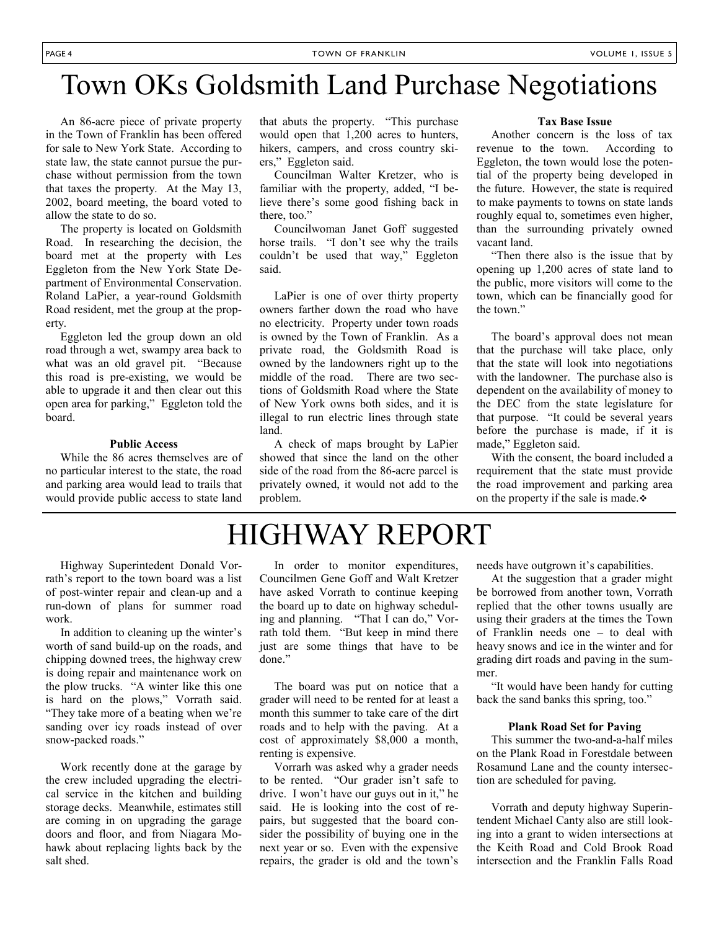## Town OKs Goldsmith Land Purchase Negotiations

 An 86-acre piece of private property in the Town of Franklin has been offered for sale to New York State. According to state law, the state cannot pursue the purchase without permission from the town that taxes the property. At the May 13, 2002, board meeting, the board voted to allow the state to do so.

 The property is located on Goldsmith Road. In researching the decision, the board met at the property with Les Eggleton from the New York State Department of Environmental Conservation. Roland LaPier, a year-round Goldsmith Road resident, met the group at the property.

 Eggleton led the group down an old road through a wet, swampy area back to what was an old gravel pit. "Because this road is pre-existing, we would be able to upgrade it and then clear out this open area for parking," Eggleton told the board.

### **Public Access**

 While the 86 acres themselves are of no particular interest to the state, the road and parking area would lead to trails that would provide public access to state land that abuts the property. "This purchase would open that 1,200 acres to hunters, hikers, campers, and cross country skiers," Eggleton said.

 Councilman Walter Kretzer, who is familiar with the property, added, "I believe there's some good fishing back in there, too."

 Councilwoman Janet Goff suggested horse trails. "I don't see why the trails couldn't be used that way," Eggleton said.

 LaPier is one of over thirty property owners farther down the road who have no electricity. Property under town roads is owned by the Town of Franklin. As a private road, the Goldsmith Road is owned by the landowners right up to the middle of the road. There are two sections of Goldsmith Road where the State of New York owns both sides, and it is illegal to run electric lines through state land.

 A check of maps brought by LaPier showed that since the land on the other side of the road from the 86-acre parcel is privately owned, it would not add to the problem.

#### **Tax Base Issue**

 Another concern is the loss of tax revenue to the town. According to Eggleton, the town would lose the potential of the property being developed in the future. However, the state is required to make payments to towns on state lands roughly equal to, sometimes even higher, than the surrounding privately owned vacant land.

 "Then there also is the issue that by opening up 1,200 acres of state land to the public, more visitors will come to the town, which can be financially good for the town."

 The board's approval does not mean that the purchase will take place, only that the state will look into negotiations with the landowner. The purchase also is dependent on the availability of money to the DEC from the state legislature for that purpose. "It could be several years before the purchase is made, if it is made," Eggleton said.

 With the consent, the board included a requirement that the state must provide the road improvement and parking area on the property if the sale is made. $\div$ 

## HIGHWAY REPORT

 Highway Superintedent Donald Vorrath's report to the town board was a list of post-winter repair and clean-up and a run-down of plans for summer road work.

 In addition to cleaning up the winter's worth of sand build-up on the roads, and chipping downed trees, the highway crew is doing repair and maintenance work on the plow trucks. "A winter like this one is hard on the plows," Vorrath said. "They take more of a beating when we're sanding over icy roads instead of over snow-packed roads."

 Work recently done at the garage by the crew included upgrading the electrical service in the kitchen and building storage decks. Meanwhile, estimates still are coming in on upgrading the garage doors and floor, and from Niagara Mohawk about replacing lights back by the salt shed.

 In order to monitor expenditures, Councilmen Gene Goff and Walt Kretzer have asked Vorrath to continue keeping the board up to date on highway scheduling and planning. "That I can do," Vorrath told them. "But keep in mind there just are some things that have to be done."

 The board was put on notice that a grader will need to be rented for at least a month this summer to take care of the dirt roads and to help with the paving. At a cost of approximately \$8,000 a month, renting is expensive.

 Vorrarh was asked why a grader needs to be rented. "Our grader isn't safe to drive. I won't have our guys out in it," he said. He is looking into the cost of repairs, but suggested that the board consider the possibility of buying one in the next year or so. Even with the expensive repairs, the grader is old and the town's needs have outgrown it's capabilities.

 At the suggestion that a grader might be borrowed from another town, Vorrath replied that the other towns usually are using their graders at the times the Town of Franklin needs one – to deal with heavy snows and ice in the winter and for grading dirt roads and paving in the summer.

 "It would have been handy for cutting back the sand banks this spring, too."

#### **Plank Road Set for Paving**

 This summer the two-and-a-half miles on the Plank Road in Forestdale between Rosamund Lane and the county intersection are scheduled for paving.

 Vorrath and deputy highway Superintendent Michael Canty also are still looking into a grant to widen intersections at the Keith Road and Cold Brook Road intersection and the Franklin Falls Road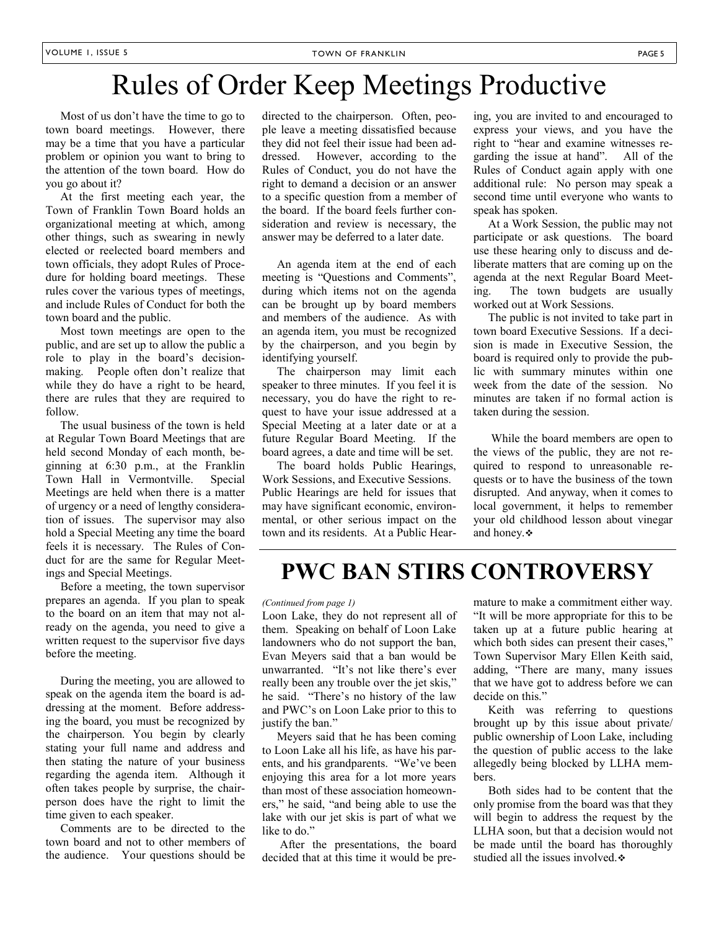## Rules of Order Keep Meetings Productive

 Most of us don't have the time to go to town board meetings. However, there may be a time that you have a particular problem or opinion you want to bring to the attention of the town board. How do you go about it?

 At the first meeting each year, the Town of Franklin Town Board holds an organizational meeting at which, among other things, such as swearing in newly elected or reelected board members and town officials, they adopt Rules of Procedure for holding board meetings. These rules cover the various types of meetings, and include Rules of Conduct for both the town board and the public.

 Most town meetings are open to the public, and are set up to allow the public a role to play in the board's decisionmaking. People often don't realize that while they do have a right to be heard, there are rules that they are required to follow.

 The usual business of the town is held at Regular Town Board Meetings that are held second Monday of each month, beginning at 6:30 p.m., at the Franklin Town Hall in Vermontville. Special Meetings are held when there is a matter of urgency or a need of lengthy consideration of issues. The supervisor may also hold a Special Meeting any time the board feels it is necessary. The Rules of Conduct for are the same for Regular Meetings and Special Meetings.

 Before a meeting, the town supervisor prepares an agenda. If you plan to speak to the board on an item that may not already on the agenda, you need to give a written request to the supervisor five days before the meeting.

 During the meeting, you are allowed to speak on the agenda item the board is addressing at the moment. Before addressing the board, you must be recognized by the chairperson. You begin by clearly stating your full name and address and then stating the nature of your business regarding the agenda item. Although it often takes people by surprise, the chairperson does have the right to limit the time given to each speaker.

 Comments are to be directed to the town board and not to other members of the audience. Your questions should be directed to the chairperson. Often, people leave a meeting dissatisfied because they did not feel their issue had been addressed. However, according to the Rules of Conduct, you do not have the right to demand a decision or an answer to a specific question from a member of the board. If the board feels further consideration and review is necessary, the answer may be deferred to a later date.

 An agenda item at the end of each meeting is "Questions and Comments", during which items not on the agenda can be brought up by board members and members of the audience. As with an agenda item, you must be recognized by the chairperson, and you begin by identifying yourself.

 The chairperson may limit each speaker to three minutes. If you feel it is necessary, you do have the right to request to have your issue addressed at a Special Meeting at a later date or at a future Regular Board Meeting. If the board agrees, a date and time will be set.

 The board holds Public Hearings, Work Sessions, and Executive Sessions. Public Hearings are held for issues that may have significant economic, environmental, or other serious impact on the town and its residents. At a Public Hear-

ing, you are invited to and encouraged to express your views, and you have the right to "hear and examine witnesses regarding the issue at hand". All of the Rules of Conduct again apply with one additional rule: No person may speak a second time until everyone who wants to speak has spoken.

 At a Work Session, the public may not participate or ask questions. The board use these hearing only to discuss and deliberate matters that are coming up on the agenda at the next Regular Board Meeting. The town budgets are usually worked out at Work Sessions.

 The public is not invited to take part in town board Executive Sessions. If a decision is made in Executive Session, the board is required only to provide the public with summary minutes within one week from the date of the session. No minutes are taken if no formal action is taken during the session.

 While the board members are open to the views of the public, they are not required to respond to unreasonable requests or to have the business of the town disrupted. And anyway, when it comes to local government, it helps to remember your old childhood lesson about vinegar and honey.  $\bullet$ 

## **PWC BAN STIRS CONTROVERSY**

#### *(Continued from page 1)*

Loon Lake, they do not represent all of them. Speaking on behalf of Loon Lake landowners who do not support the ban, Evan Meyers said that a ban would be unwarranted. "It's not like there's ever really been any trouble over the jet skis," he said. "There's no history of the law and PWC's on Loon Lake prior to this to justify the ban."

 Meyers said that he has been coming to Loon Lake all his life, as have his parents, and his grandparents. "We've been enjoying this area for a lot more years than most of these association homeowners," he said, "and being able to use the lake with our jet skis is part of what we like to do."

 After the presentations, the board decided that at this time it would be pre-

mature to make a commitment either way. "It will be more appropriate for this to be taken up at a future public hearing at which both sides can present their cases," Town Supervisor Mary Ellen Keith said, adding, "There are many, many issues that we have got to address before we can decide on this."

 Keith was referring to questions brought up by this issue about private/ public ownership of Loon Lake, including the question of public access to the lake allegedly being blocked by LLHA members.

 Both sides had to be content that the only promise from the board was that they will begin to address the request by the LLHA soon, but that a decision would not be made until the board has thoroughly studied all the issues involved.  $\div$